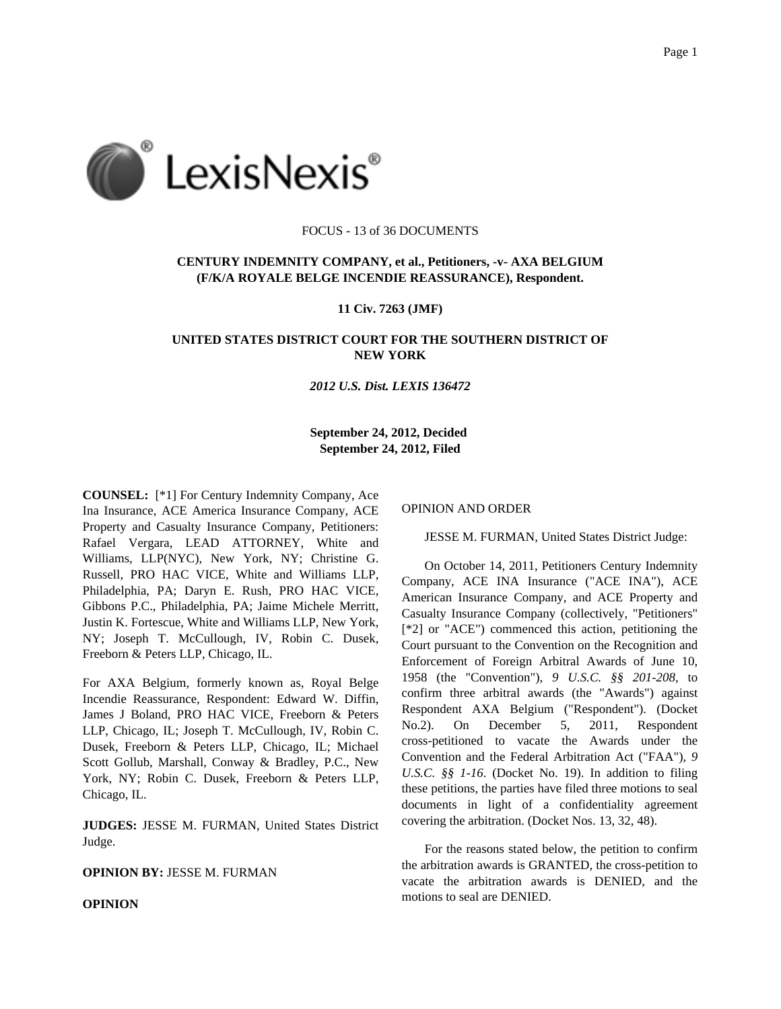

### FOCUS - 13 of 36 DOCUMENTS

# **CENTURY INDEMNITY COMPANY, et al., Petitioners, -v- AXA BELGIUM (F/K/A ROYALE BELGE INCENDIE REASSURANCE), Respondent.**

**11 Civ. 7263 (JMF)**

## **UNITED STATES DISTRICT COURT FOR THE SOUTHERN DISTRICT OF NEW YORK**

#### *2012 U.S. Dist. LEXIS 136472*

**September 24, 2012, Decided September 24, 2012, Filed**

**COUNSEL:** [\*1] For Century Indemnity Company, Ace Ina Insurance, ACE America Insurance Company, ACE Property and Casualty Insurance Company, Petitioners: Rafael Vergara, LEAD ATTORNEY, White and Williams, LLP(NYC), New York, NY; Christine G. Russell, PRO HAC VICE, White and Williams LLP, Philadelphia, PA; Daryn E. Rush, PRO HAC VICE, Gibbons P.C., Philadelphia, PA; Jaime Michele Merritt, Justin K. Fortescue, White and Williams LLP, New York, NY; Joseph T. McCullough, IV, Robin C. Dusek, Freeborn & Peters LLP, Chicago, IL.

For AXA Belgium, formerly known as, Royal Belge Incendie Reassurance, Respondent: Edward W. Diffin, James J Boland, PRO HAC VICE, Freeborn & Peters LLP, Chicago, IL; Joseph T. McCullough, IV, Robin C. Dusek, Freeborn & Peters LLP, Chicago, IL; Michael Scott Gollub, Marshall, Conway & Bradley, P.C., New York, NY; Robin C. Dusek, Freeborn & Peters LLP, Chicago, IL.

**JUDGES:** JESSE M. FURMAN, United States District Judge.

### **OPINION BY:** JESSE M. FURMAN

**OPINION**

OPINION AND ORDER

JESSE M. FURMAN, United States District Judge:

On October 14, 2011, Petitioners Century Indemnity Company, ACE INA Insurance ("ACE INA"), ACE American Insurance Company, and ACE Property and Casualty Insurance Company (collectively, "Petitioners" [\*2] or "ACE") commenced this action, petitioning the Court pursuant to the Convention on the Recognition and Enforcement of Foreign Arbitral Awards of June 10, 1958 (the "Convention"), *9 U.S.C. §§ 201-208*, to confirm three arbitral awards (the "Awards") against Respondent AXA Belgium ("Respondent"). (Docket No.2). On December 5, 2011, Respondent cross-petitioned to vacate the Awards under the Convention and the Federal Arbitration Act ("FAA"), *9 U.S.C. §§ 1-16*. (Docket No. 19). In addition to filing these petitions, the parties have filed three motions to seal documents in light of a confidentiality agreement covering the arbitration. (Docket Nos. 13, 32, 48).

For the reasons stated below, the petition to confirm the arbitration awards is GRANTED, the cross-petition to vacate the arbitration awards is DENIED, and the motions to seal are DENIED.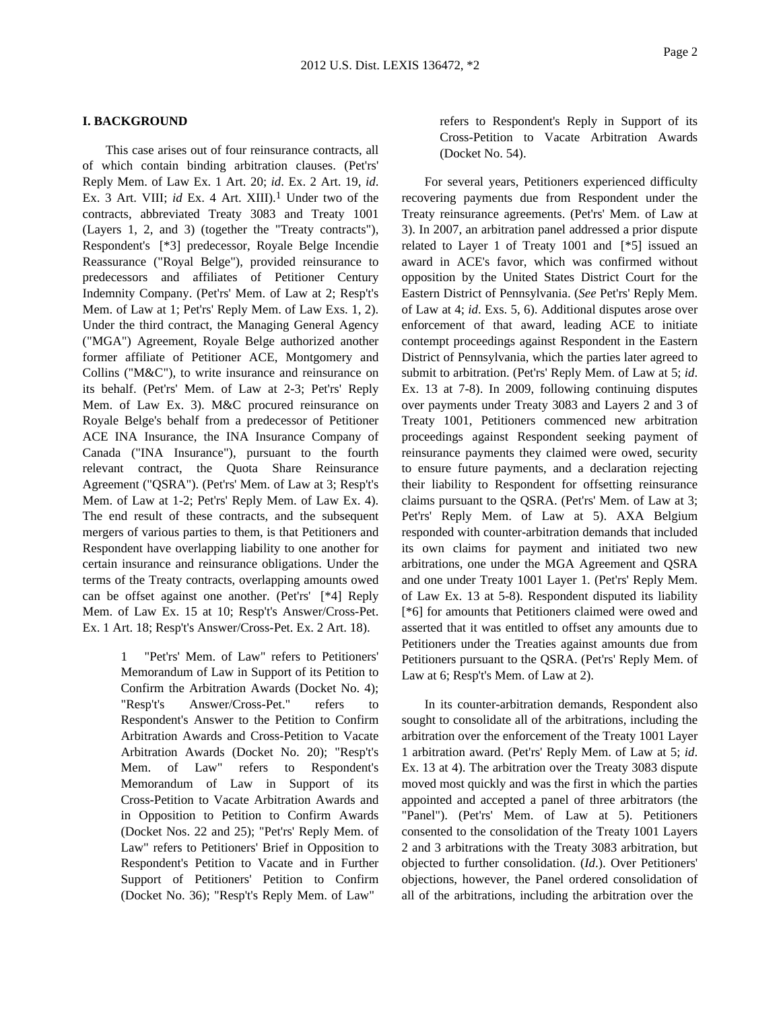### **I. BACKGROUND**

This case arises out of four reinsurance contracts, all of which contain binding arbitration clauses. (Pet'rs' Reply Mem. of Law Ex. 1 Art. 20; *id*. Ex. 2 Art. 19, *id*. Ex. 3 Art. VIII; *id* Ex. 4 Art. XIII).<sup>1</sup> Under two of the contracts, abbreviated Treaty 3083 and Treaty 1001 (Layers 1, 2, and 3) (together the "Treaty contracts"), Respondent's [\*3] predecessor, Royale Belge Incendie Reassurance ("Royal Belge"), provided reinsurance to predecessors and affiliates of Petitioner Century Indemnity Company. (Pet'rs' Mem. of Law at 2; Resp't's Mem. of Law at 1; Pet'rs' Reply Mem. of Law Exs. 1, 2). Under the third contract, the Managing General Agency ("MGA") Agreement, Royale Belge authorized another former affiliate of Petitioner ACE, Montgomery and Collins ("M&C"), to write insurance and reinsurance on its behalf. (Pet'rs' Mem. of Law at 2-3; Pet'rs' Reply Mem. of Law Ex. 3). M&C procured reinsurance on Royale Belge's behalf from a predecessor of Petitioner ACE INA Insurance, the INA Insurance Company of Canada ("INA Insurance"), pursuant to the fourth relevant contract, the Quota Share Reinsurance Agreement ("QSRA"). (Pet'rs' Mem. of Law at 3; Resp't's Mem. of Law at 1-2; Pet'rs' Reply Mem. of Law Ex. 4). The end result of these contracts, and the subsequent mergers of various parties to them, is that Petitioners and Respondent have overlapping liability to one another for certain insurance and reinsurance obligations. Under the terms of the Treaty contracts, overlapping amounts owed can be offset against one another. (Pet'rs' [\*4] Reply Mem. of Law Ex. 15 at 10; Resp't's Answer/Cross-Pet. Ex. 1 Art. 18; Resp't's Answer/Cross-Pet. Ex. 2 Art. 18).

> 1 "Pet'rs' Mem. of Law" refers to Petitioners' Memorandum of Law in Support of its Petition to Confirm the Arbitration Awards (Docket No. 4); "Resp't's Answer/Cross-Pet." refers to Respondent's Answer to the Petition to Confirm Arbitration Awards and Cross-Petition to Vacate Arbitration Awards (Docket No. 20); "Resp't's Mem. of Law" refers to Respondent's Memorandum of Law in Support of its Cross-Petition to Vacate Arbitration Awards and in Opposition to Petition to Confirm Awards (Docket Nos. 22 and 25); "Pet'rs' Reply Mem. of Law" refers to Petitioners' Brief in Opposition to Respondent's Petition to Vacate and in Further Support of Petitioners' Petition to Confirm (Docket No. 36); "Resp't's Reply Mem. of Law"

refers to Respondent's Reply in Support of its Cross-Petition to Vacate Arbitration Awards (Docket No. 54).

For several years, Petitioners experienced difficulty recovering payments due from Respondent under the Treaty reinsurance agreements. (Pet'rs' Mem. of Law at 3). In 2007, an arbitration panel addressed a prior dispute related to Layer 1 of Treaty 1001 and [\*5] issued an award in ACE's favor, which was confirmed without opposition by the United States District Court for the Eastern District of Pennsylvania. (*See* Pet'rs' Reply Mem. of Law at 4; *id*. Exs. 5, 6). Additional disputes arose over enforcement of that award, leading ACE to initiate contempt proceedings against Respondent in the Eastern District of Pennsylvania, which the parties later agreed to submit to arbitration. (Pet'rs' Reply Mem. of Law at 5; *id*. Ex. 13 at 7-8). In 2009, following continuing disputes over payments under Treaty 3083 and Layers 2 and 3 of Treaty 1001, Petitioners commenced new arbitration proceedings against Respondent seeking payment of reinsurance payments they claimed were owed, security to ensure future payments, and a declaration rejecting their liability to Respondent for offsetting reinsurance claims pursuant to the QSRA. (Pet'rs' Mem. of Law at 3; Pet'rs' Reply Mem. of Law at 5). AXA Belgium responded with counter-arbitration demands that included its own claims for payment and initiated two new arbitrations, one under the MGA Agreement and QSRA and one under Treaty 1001 Layer 1. (Pet'rs' Reply Mem. of Law Ex. 13 at 5-8). Respondent disputed its liability [\*6] for amounts that Petitioners claimed were owed and asserted that it was entitled to offset any amounts due to Petitioners under the Treaties against amounts due from Petitioners pursuant to the QSRA. (Pet'rs' Reply Mem. of Law at 6; Resp't's Mem. of Law at 2).

In its counter-arbitration demands, Respondent also sought to consolidate all of the arbitrations, including the arbitration over the enforcement of the Treaty 1001 Layer 1 arbitration award. (Pet'rs' Reply Mem. of Law at 5; *id*. Ex. 13 at 4). The arbitration over the Treaty 3083 dispute moved most quickly and was the first in which the parties appointed and accepted a panel of three arbitrators (the "Panel"). (Pet'rs' Mem. of Law at 5). Petitioners consented to the consolidation of the Treaty 1001 Layers 2 and 3 arbitrations with the Treaty 3083 arbitration, but objected to further consolidation. (*Id*.). Over Petitioners' objections, however, the Panel ordered consolidation of all of the arbitrations, including the arbitration over the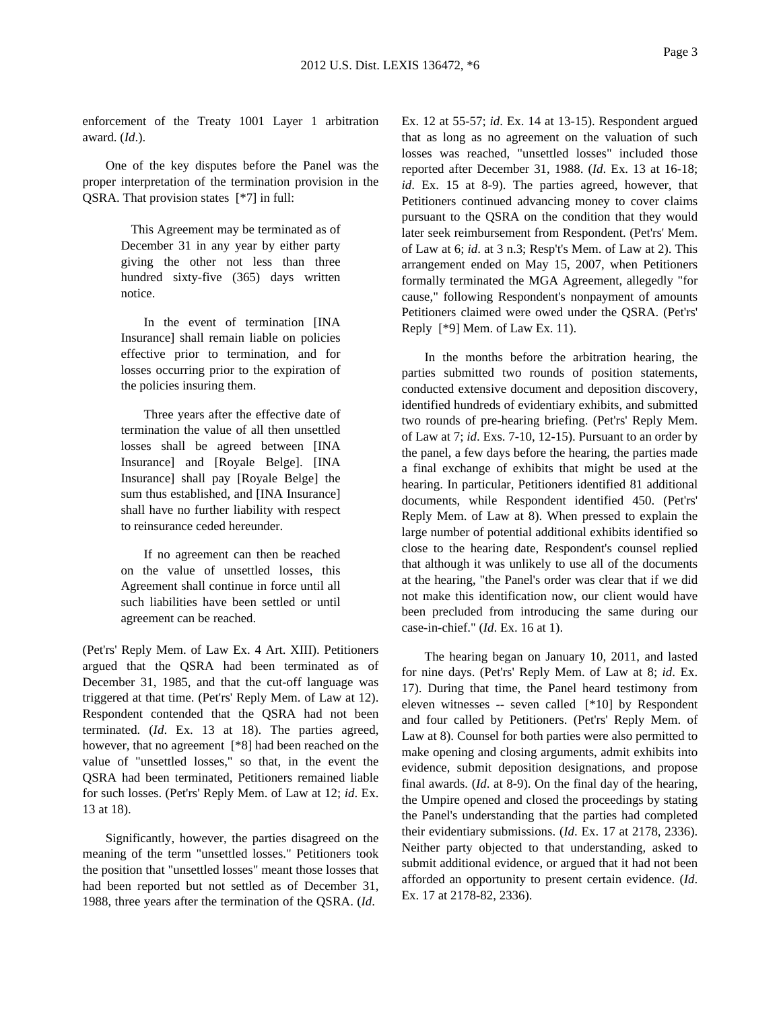enforcement of the Treaty 1001 Layer 1 arbitration award. (*Id*.).

One of the key disputes before the Panel was the proper interpretation of the termination provision in the QSRA. That provision states [\*7] in full:

> This Agreement may be terminated as of December 31 in any year by either party giving the other not less than three hundred sixty-five (365) days written notice.

In the event of termination [INA Insurance] shall remain liable on policies effective prior to termination, and for losses occurring prior to the expiration of the policies insuring them.

Three years after the effective date of termination the value of all then unsettled losses shall be agreed between [INA Insurance] and [Royale Belge]. [INA Insurance] shall pay [Royale Belge] the sum thus established, and [INA Insurance] shall have no further liability with respect to reinsurance ceded hereunder.

If no agreement can then be reached on the value of unsettled losses, this Agreement shall continue in force until all such liabilities have been settled or until agreement can be reached.

(Pet'rs' Reply Mem. of Law Ex. 4 Art. XIII). Petitioners argued that the QSRA had been terminated as of December 31, 1985, and that the cut-off language was triggered at that time. (Pet'rs' Reply Mem. of Law at 12). Respondent contended that the QSRA had not been terminated. (*Id*. Ex. 13 at 18). The parties agreed, however, that no agreement [\*8] had been reached on the value of "unsettled losses," so that, in the event the QSRA had been terminated, Petitioners remained liable for such losses. (Pet'rs' Reply Mem. of Law at 12; *id*. Ex. 13 at 18).

Significantly, however, the parties disagreed on the meaning of the term "unsettled losses." Petitioners took the position that "unsettled losses" meant those losses that had been reported but not settled as of December 31, 1988, three years after the termination of the QSRA. (*Id*.

Ex. 12 at 55-57; *id*. Ex. 14 at 13-15). Respondent argued that as long as no agreement on the valuation of such losses was reached, "unsettled losses" included those reported after December 31, 1988. (*Id*. Ex. 13 at 16-18; *id*. Ex. 15 at 8-9). The parties agreed, however, that Petitioners continued advancing money to cover claims pursuant to the QSRA on the condition that they would later seek reimbursement from Respondent. (Pet'rs' Mem. of Law at 6; *id*. at 3 n.3; Resp't's Mem. of Law at 2). This arrangement ended on May 15, 2007, when Petitioners formally terminated the MGA Agreement, allegedly "for cause," following Respondent's nonpayment of amounts Petitioners claimed were owed under the QSRA. (Pet'rs' Reply [\*9] Mem. of Law Ex. 11).

In the months before the arbitration hearing, the parties submitted two rounds of position statements, conducted extensive document and deposition discovery, identified hundreds of evidentiary exhibits, and submitted two rounds of pre-hearing briefing. (Pet'rs' Reply Mem. of Law at 7; *id*. Exs. 7-10, 12-15). Pursuant to an order by the panel, a few days before the hearing, the parties made a final exchange of exhibits that might be used at the hearing. In particular, Petitioners identified 81 additional documents, while Respondent identified 450. (Pet'rs' Reply Mem. of Law at 8). When pressed to explain the large number of potential additional exhibits identified so close to the hearing date, Respondent's counsel replied that although it was unlikely to use all of the documents at the hearing, "the Panel's order was clear that if we did not make this identification now, our client would have been precluded from introducing the same during our case-in-chief." (*Id*. Ex. 16 at 1).

The hearing began on January 10, 2011, and lasted for nine days. (Pet'rs' Reply Mem. of Law at 8; *id*. Ex. 17). During that time, the Panel heard testimony from eleven witnesses -- seven called [\*10] by Respondent and four called by Petitioners. (Pet'rs' Reply Mem. of Law at 8). Counsel for both parties were also permitted to make opening and closing arguments, admit exhibits into evidence, submit deposition designations, and propose final awards. (*Id*. at 8-9). On the final day of the hearing, the Umpire opened and closed the proceedings by stating the Panel's understanding that the parties had completed their evidentiary submissions. (*Id*. Ex. 17 at 2178, 2336). Neither party objected to that understanding, asked to submit additional evidence, or argued that it had not been afforded an opportunity to present certain evidence. (*Id*. Ex. 17 at 2178-82, 2336).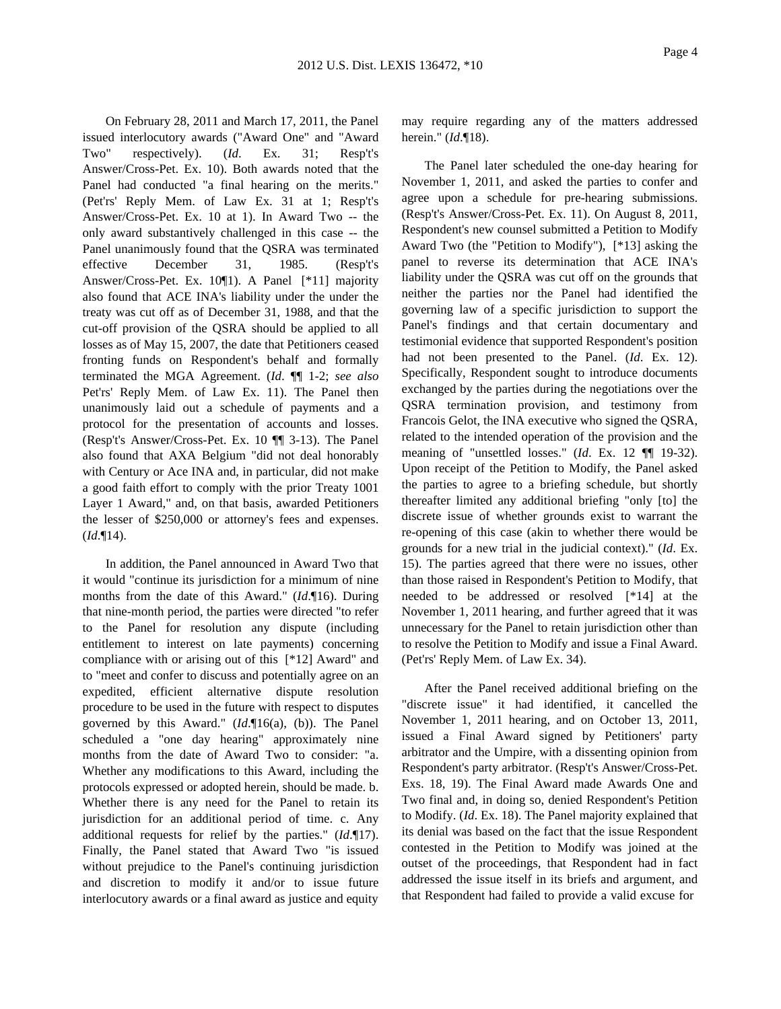On February 28, 2011 and March 17, 2011, the Panel issued interlocutory awards ("Award One" and "Award Two" respectively). (*Id*. Ex. 31; Resp't's Answer/Cross-Pet. Ex. 10). Both awards noted that the Panel had conducted "a final hearing on the merits." (Pet'rs' Reply Mem. of Law Ex. 31 at 1; Resp't's Answer/Cross-Pet. Ex. 10 at 1). In Award Two -- the only award substantively challenged in this case -- the Panel unanimously found that the QSRA was terminated effective December 31, 1985. (Resp't's Answer/Cross-Pet. Ex. 10¶1). A Panel [\*11] majority also found that ACE INA's liability under the under the treaty was cut off as of December 31, 1988, and that the cut-off provision of the QSRA should be applied to all losses as of May 15, 2007, the date that Petitioners ceased fronting funds on Respondent's behalf and formally terminated the MGA Agreement. (*Id*. ¶¶ 1-2; *see also* Pet'rs' Reply Mem. of Law Ex. 11). The Panel then unanimously laid out a schedule of payments and a protocol for the presentation of accounts and losses. (Resp't's Answer/Cross-Pet. Ex. 10 ¶¶ 3-13). The Panel also found that AXA Belgium "did not deal honorably with Century or Ace INA and, in particular, did not make a good faith effort to comply with the prior Treaty 1001 Layer 1 Award," and, on that basis, awarded Petitioners the lesser of \$250,000 or attorney's fees and expenses. (*Id*.¶14).

In addition, the Panel announced in Award Two that it would "continue its jurisdiction for a minimum of nine months from the date of this Award." (*Id*.¶16). During that nine-month period, the parties were directed "to refer to the Panel for resolution any dispute (including entitlement to interest on late payments) concerning compliance with or arising out of this [\*12] Award" and to "meet and confer to discuss and potentially agree on an expedited, efficient alternative dispute resolution procedure to be used in the future with respect to disputes governed by this Award." (*Id*.¶16(a), (b)). The Panel scheduled a "one day hearing" approximately nine months from the date of Award Two to consider: "a. Whether any modifications to this Award, including the protocols expressed or adopted herein, should be made. b. Whether there is any need for the Panel to retain its jurisdiction for an additional period of time. c. Any additional requests for relief by the parties." (*Id*.¶17). Finally, the Panel stated that Award Two "is issued without prejudice to the Panel's continuing jurisdiction and discretion to modify it and/or to issue future interlocutory awards or a final award as justice and equity

may require regarding any of the matters addressed herein." (*Id*.¶18).

The Panel later scheduled the one-day hearing for November 1, 2011, and asked the parties to confer and agree upon a schedule for pre-hearing submissions. (Resp't's Answer/Cross-Pet. Ex. 11). On August 8, 2011, Respondent's new counsel submitted a Petition to Modify Award Two (the "Petition to Modify"), [\*13] asking the panel to reverse its determination that ACE INA's liability under the QSRA was cut off on the grounds that neither the parties nor the Panel had identified the governing law of a specific jurisdiction to support the Panel's findings and that certain documentary and testimonial evidence that supported Respondent's position had not been presented to the Panel. (*Id*. Ex. 12). Specifically, Respondent sought to introduce documents exchanged by the parties during the negotiations over the QSRA termination provision, and testimony from Francois Gelot, the INA executive who signed the QSRA, related to the intended operation of the provision and the meaning of "unsettled losses." (*Id*. Ex. 12 ¶¶ 19-32). Upon receipt of the Petition to Modify, the Panel asked the parties to agree to a briefing schedule, but shortly thereafter limited any additional briefing "only [to] the discrete issue of whether grounds exist to warrant the re-opening of this case (akin to whether there would be grounds for a new trial in the judicial context)." (*Id*. Ex. 15). The parties agreed that there were no issues, other than those raised in Respondent's Petition to Modify, that needed to be addressed or resolved [\*14] at the November 1, 2011 hearing, and further agreed that it was unnecessary for the Panel to retain jurisdiction other than to resolve the Petition to Modify and issue a Final Award. (Pet'rs' Reply Mem. of Law Ex. 34).

After the Panel received additional briefing on the "discrete issue" it had identified, it cancelled the November 1, 2011 hearing, and on October 13, 2011, issued a Final Award signed by Petitioners' party arbitrator and the Umpire, with a dissenting opinion from Respondent's party arbitrator. (Resp't's Answer/Cross-Pet. Exs. 18, 19). The Final Award made Awards One and Two final and, in doing so, denied Respondent's Petition to Modify. (*Id*. Ex. 18). The Panel majority explained that its denial was based on the fact that the issue Respondent contested in the Petition to Modify was joined at the outset of the proceedings, that Respondent had in fact addressed the issue itself in its briefs and argument, and that Respondent had failed to provide a valid excuse for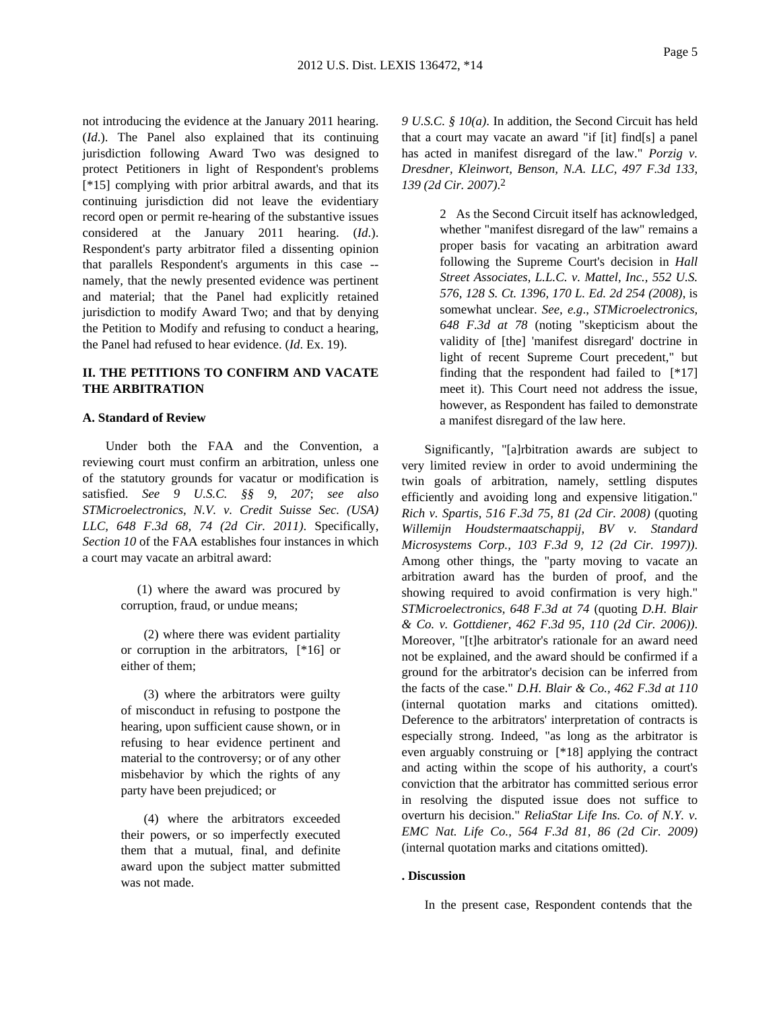not introducing the evidence at the January 2011 hearing. (*Id*.). The Panel also explained that its continuing jurisdiction following Award Two was designed to protect Petitioners in light of Respondent's problems [\*15] complying with prior arbitral awards, and that its continuing jurisdiction did not leave the evidentiary record open or permit re-hearing of the substantive issues considered at the January 2011 hearing. (*Id*.). Respondent's party arbitrator filed a dissenting opinion that parallels Respondent's arguments in this case - namely, that the newly presented evidence was pertinent and material; that the Panel had explicitly retained jurisdiction to modify Award Two; and that by denying the Petition to Modify and refusing to conduct a hearing, the Panel had refused to hear evidence. (*Id*. Ex. 19).

## **II. THE PETITIONS TO CONFIRM AND VACATE THE ARBITRATION**

### **A. Standard of Review**

Under both the FAA and the Convention, a reviewing court must confirm an arbitration, unless one of the statutory grounds for vacatur or modification is satisfied. *See 9 U.S.C. §§ 9*, *207*; *see also STMicroelectronics, N.V. v. Credit Suisse Sec. (USA) LLC, 648 F.3d 68, 74 (2d Cir. 2011)*. Specifically, *Section 10* of the FAA establishes four instances in which a court may vacate an arbitral award:

> (1) where the award was procured by corruption, fraud, or undue means;

> (2) where there was evident partiality or corruption in the arbitrators, [\*16] or either of them;

> (3) where the arbitrators were guilty of misconduct in refusing to postpone the hearing, upon sufficient cause shown, or in refusing to hear evidence pertinent and material to the controversy; or of any other misbehavior by which the rights of any party have been prejudiced; or

> (4) where the arbitrators exceeded their powers, or so imperfectly executed them that a mutual, final, and definite award upon the subject matter submitted was not made.

*9 U.S.C. § 10(a)*. In addition, the Second Circuit has held that a court may vacate an award "if [it] find[s] a panel has acted in manifest disregard of the law." *Porzig v. Dresdner, Kleinwort, Benson, N.A. LLC, 497 F.3d 133, 139 (2d Cir. 2007)*. 2

> 2 As the Second Circuit itself has acknowledged, whether "manifest disregard of the law" remains a proper basis for vacating an arbitration award following the Supreme Court's decision in *Hall Street Associates, L.L.C. v. Mattel, Inc., 552 U.S. 576, 128 S. Ct. 1396, 170 L. Ed. 2d 254 (2008)*, is somewhat unclear. *See, e.g*., *STMicroelectronics, 648 F.3d at 78* (noting "skepticism about the validity of [the] 'manifest disregard' doctrine in light of recent Supreme Court precedent," but finding that the respondent had failed to  $[*17]$ meet it). This Court need not address the issue, however, as Respondent has failed to demonstrate a manifest disregard of the law here.

Significantly, "[a]rbitration awards are subject to very limited review in order to avoid undermining the twin goals of arbitration, namely, settling disputes efficiently and avoiding long and expensive litigation." *Rich v. Spartis, 516 F.3d 75, 81 (2d Cir. 2008)* (quoting *Willemijn Houdstermaatschappij, BV v. Standard Microsystems Corp., 103 F.3d 9, 12 (2d Cir. 1997))*. Among other things, the "party moving to vacate an arbitration award has the burden of proof, and the showing required to avoid confirmation is very high." *STMicroelectronics, 648 F.3d at 74* (quoting *D.H. Blair & Co. v. Gottdiener, 462 F.3d 95, 110 (2d Cir. 2006))*. Moreover, "[t]he arbitrator's rationale for an award need not be explained, and the award should be confirmed if a ground for the arbitrator's decision can be inferred from the facts of the case." *D.H. Blair & Co., 462 F.3d at 110* (internal quotation marks and citations omitted). Deference to the arbitrators' interpretation of contracts is especially strong. Indeed, "as long as the arbitrator is even arguably construing or [\*18] applying the contract and acting within the scope of his authority, a court's conviction that the arbitrator has committed serious error in resolving the disputed issue does not suffice to overturn his decision." *ReliaStar Life Ins. Co. of N.Y. v. EMC Nat. Life Co., 564 F.3d 81, 86 (2d Cir. 2009)* (internal quotation marks and citations omitted).

#### **. Discussion**

In the present case, Respondent contends that the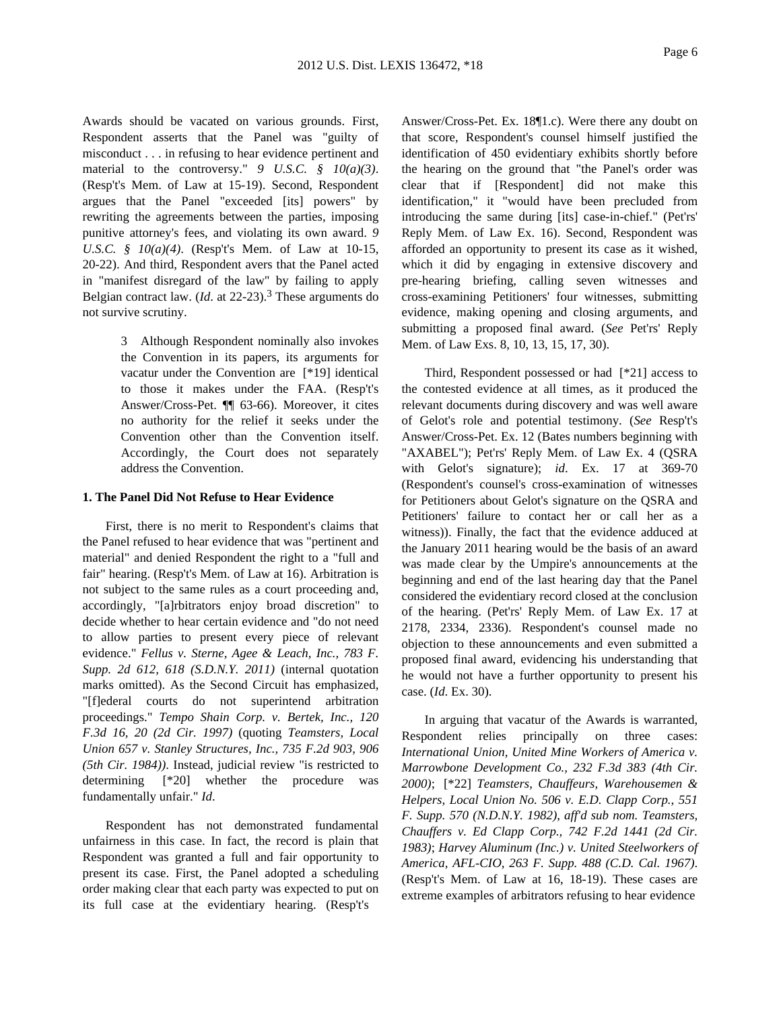Awards should be vacated on various grounds. First, Respondent asserts that the Panel was "guilty of misconduct . . . in refusing to hear evidence pertinent and material to the controversy." *9 U.S.C. § 10(a)(3)*. (Resp't's Mem. of Law at 15-19). Second, Respondent argues that the Panel "exceeded [its] powers" by rewriting the agreements between the parties, imposing punitive attorney's fees, and violating its own award. *9 U.S.C. § 10(a)(4)*. (Resp't's Mem. of Law at 10-15, 20-22). And third, Respondent avers that the Panel acted in "manifest disregard of the law" by failing to apply Belgian contract law. (*Id*. at 22-23).3 These arguments do not survive scrutiny.

> 3 Although Respondent nominally also invokes the Convention in its papers, its arguments for vacatur under the Convention are [\*19] identical to those it makes under the FAA. (Resp't's Answer/Cross-Pet. ¶¶ 63-66). Moreover, it cites no authority for the relief it seeks under the Convention other than the Convention itself. Accordingly, the Court does not separately address the Convention.

#### **1. The Panel Did Not Refuse to Hear Evidence**

First, there is no merit to Respondent's claims that the Panel refused to hear evidence that was "pertinent and material" and denied Respondent the right to a "full and fair" hearing. (Resp't's Mem. of Law at 16). Arbitration is not subject to the same rules as a court proceeding and, accordingly, "[a]rbitrators enjoy broad discretion" to decide whether to hear certain evidence and "do not need to allow parties to present every piece of relevant evidence." *Fellus v. Sterne, Agee & Leach, Inc., 783 F. Supp. 2d 612, 618 (S.D.N.Y. 2011)* (internal quotation marks omitted). As the Second Circuit has emphasized, "[f]ederal courts do not superintend arbitration proceedings." *Tempo Shain Corp. v. Bertek, Inc., 120 F.3d 16, 20 (2d Cir. 1997)* (quoting *Teamsters, Local Union 657 v. Stanley Structures, Inc., 735 F.2d 903, 906 (5th Cir. 1984))*. Instead, judicial review "is restricted to determining [\*20] whether the procedure was fundamentally unfair." *Id*.

Respondent has not demonstrated fundamental unfairness in this case. In fact, the record is plain that Respondent was granted a full and fair opportunity to present its case. First, the Panel adopted a scheduling order making clear that each party was expected to put on its full case at the evidentiary hearing. (Resp't's

Answer/Cross-Pet. Ex. 18¶1.c). Were there any doubt on that score, Respondent's counsel himself justified the identification of 450 evidentiary exhibits shortly before the hearing on the ground that "the Panel's order was clear that if [Respondent] did not make this identification," it "would have been precluded from introducing the same during [its] case-in-chief." (Pet'rs' Reply Mem. of Law Ex. 16). Second, Respondent was afforded an opportunity to present its case as it wished, which it did by engaging in extensive discovery and pre-hearing briefing, calling seven witnesses and cross-examining Petitioners' four witnesses, submitting evidence, making opening and closing arguments, and submitting a proposed final award. (*See* Pet'rs' Reply Mem. of Law Exs. 8, 10, 13, 15, 17, 30).

Third, Respondent possessed or had [\*21] access to the contested evidence at all times, as it produced the relevant documents during discovery and was well aware of Gelot's role and potential testimony. (*See* Resp't's Answer/Cross-Pet. Ex. 12 (Bates numbers beginning with "AXABEL"); Pet'rs' Reply Mem. of Law Ex. 4 (QSRA with Gelot's signature); *id*. Ex. 17 at 369-70 (Respondent's counsel's cross-examination of witnesses for Petitioners about Gelot's signature on the QSRA and Petitioners' failure to contact her or call her as a witness)). Finally, the fact that the evidence adduced at the January 2011 hearing would be the basis of an award was made clear by the Umpire's announcements at the beginning and end of the last hearing day that the Panel considered the evidentiary record closed at the conclusion of the hearing. (Pet'rs' Reply Mem. of Law Ex. 17 at 2178, 2334, 2336). Respondent's counsel made no objection to these announcements and even submitted a proposed final award, evidencing his understanding that he would not have a further opportunity to present his case. (*Id*. Ex. 30).

In arguing that vacatur of the Awards is warranted, Respondent relies principally on three cases: *International Union, United Mine Workers of America v. Marrowbone Development Co., 232 F.3d 383 (4th Cir. 2000)*; [\*22] *Teamsters, Chauffeurs, Warehousemen & Helpers, Local Union No. 506 v. E.D. Clapp Corp., 551 F. Supp. 570 (N.D.N.Y. 1982)*, *aff'd sub nom. Teamsters, Chauffers v. Ed Clapp Corp., 742 F.2d 1441 (2d Cir. 1983)*; *Harvey Aluminum (Inc.) v. United Steelworkers of America, AFL-CIO, 263 F. Supp. 488 (C.D. Cal. 1967)*. (Resp't's Mem. of Law at 16, 18-19). These cases are extreme examples of arbitrators refusing to hear evidence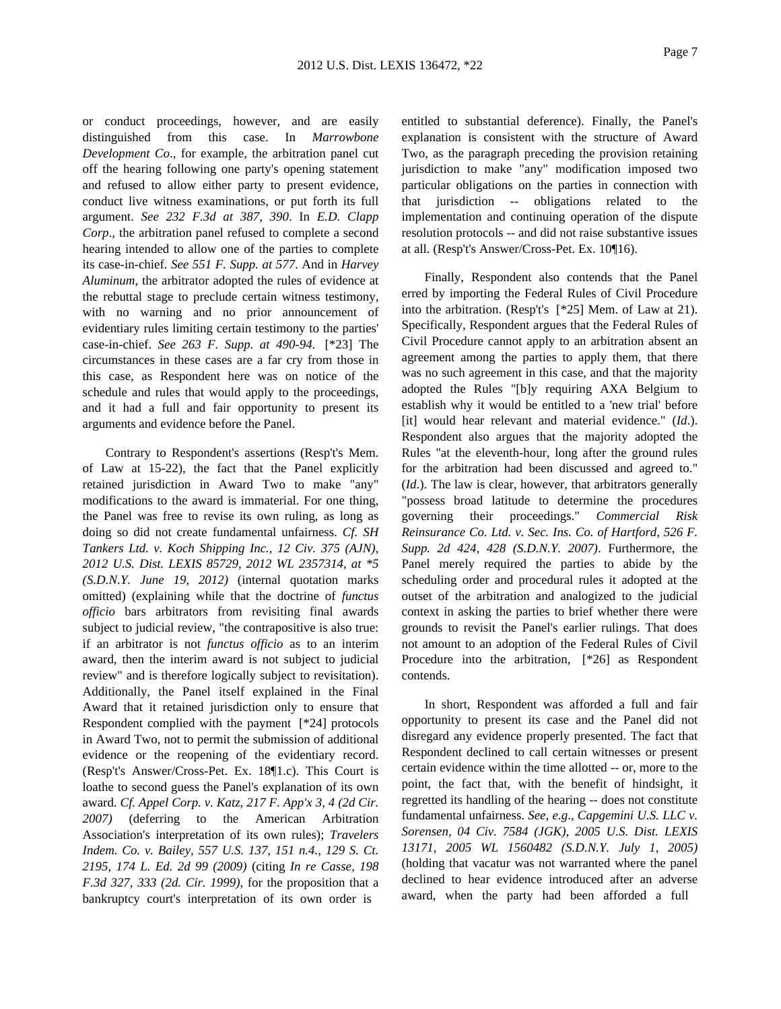or conduct proceedings, however, and are easily distinguished from this case. In *Marrowbone Development Co*., for example, the arbitration panel cut off the hearing following one party's opening statement and refused to allow either party to present evidence, conduct live witness examinations, or put forth its full argument. *See 232 F.3d at 387, 390*. In *E.D. Clapp Corp*., the arbitration panel refused to complete a second hearing intended to allow one of the parties to complete its case-in-chief. *See 551 F. Supp. at 577*. And in *Harvey Aluminum*, the arbitrator adopted the rules of evidence at the rebuttal stage to preclude certain witness testimony, with no warning and no prior announcement of evidentiary rules limiting certain testimony to the parties' case-in-chief. *See 263 F. Supp. at 490-94*. [\*23] The circumstances in these cases are a far cry from those in this case, as Respondent here was on notice of the schedule and rules that would apply to the proceedings, and it had a full and fair opportunity to present its arguments and evidence before the Panel.

Contrary to Respondent's assertions (Resp't's Mem. of Law at 15-22), the fact that the Panel explicitly retained jurisdiction in Award Two to make "any" modifications to the award is immaterial. For one thing, the Panel was free to revise its own ruling, as long as doing so did not create fundamental unfairness. *Cf. SH Tankers Ltd. v. Koch Shipping Inc., 12 Civ. 375 (AJN), 2012 U.S. Dist. LEXIS 85729, 2012 WL 2357314, at \*5 (S.D.N.Y. June 19, 2012)* (internal quotation marks omitted) (explaining while that the doctrine of *functus officio* bars arbitrators from revisiting final awards subject to judicial review, "the contrapositive is also true: if an arbitrator is not *functus officio* as to an interim award, then the interim award is not subject to judicial review" and is therefore logically subject to revisitation). Additionally, the Panel itself explained in the Final Award that it retained jurisdiction only to ensure that Respondent complied with the payment [\*24] protocols in Award Two, not to permit the submission of additional evidence or the reopening of the evidentiary record. (Resp't's Answer/Cross-Pet. Ex. 18¶1.c). This Court is loathe to second guess the Panel's explanation of its own award. *Cf. Appel Corp. v. Katz, 217 F. App'x 3, 4 (2d Cir. 2007)* (deferring to the American Arbitration Association's interpretation of its own rules); *Travelers Indem. Co. v. Bailey, 557 U.S. 137, 151 n.4., 129 S. Ct. 2195, 174 L. Ed. 2d 99 (2009)* (citing *In re Casse, 198 F.3d 327, 333 (2d. Cir. 1999)*, for the proposition that a bankruptcy court's interpretation of its own order is

entitled to substantial deference). Finally, the Panel's explanation is consistent with the structure of Award Two, as the paragraph preceding the provision retaining jurisdiction to make "any" modification imposed two particular obligations on the parties in connection with that jurisdiction -- obligations related to the implementation and continuing operation of the dispute resolution protocols -- and did not raise substantive issues at all. (Resp't's Answer/Cross-Pet. Ex. 10¶16).

Finally, Respondent also contends that the Panel erred by importing the Federal Rules of Civil Procedure into the arbitration. (Resp't's [\*25] Mem. of Law at 21). Specifically, Respondent argues that the Federal Rules of Civil Procedure cannot apply to an arbitration absent an agreement among the parties to apply them, that there was no such agreement in this case, and that the majority adopted the Rules "[b]y requiring AXA Belgium to establish why it would be entitled to a 'new trial' before [it] would hear relevant and material evidence." (*Id*.). Respondent also argues that the majority adopted the Rules "at the eleventh-hour, long after the ground rules for the arbitration had been discussed and agreed to." (*Id*.). The law is clear, however, that arbitrators generally "possess broad latitude to determine the procedures governing their proceedings." *Commercial Risk Reinsurance Co. Ltd. v. Sec. Ins. Co. of Hartford, 526 F. Supp. 2d 424, 428 (S.D.N.Y. 2007)*. Furthermore, the Panel merely required the parties to abide by the scheduling order and procedural rules it adopted at the outset of the arbitration and analogized to the judicial context in asking the parties to brief whether there were grounds to revisit the Panel's earlier rulings. That does not amount to an adoption of the Federal Rules of Civil Procedure into the arbitration, [\*26] as Respondent contends.

In short, Respondent was afforded a full and fair opportunity to present its case and the Panel did not disregard any evidence properly presented. The fact that Respondent declined to call certain witnesses or present certain evidence within the time allotted -- or, more to the point, the fact that, with the benefit of hindsight, it regretted its handling of the hearing -- does not constitute fundamental unfairness. *See, e.g*., *Capgemini U.S. LLC v. Sorensen, 04 Civ. 7584 (JGK), 2005 U.S. Dist. LEXIS 13171, 2005 WL 1560482 (S.D.N.Y. July 1, 2005)* (holding that vacatur was not warranted where the panel declined to hear evidence introduced after an adverse award, when the party had been afforded a full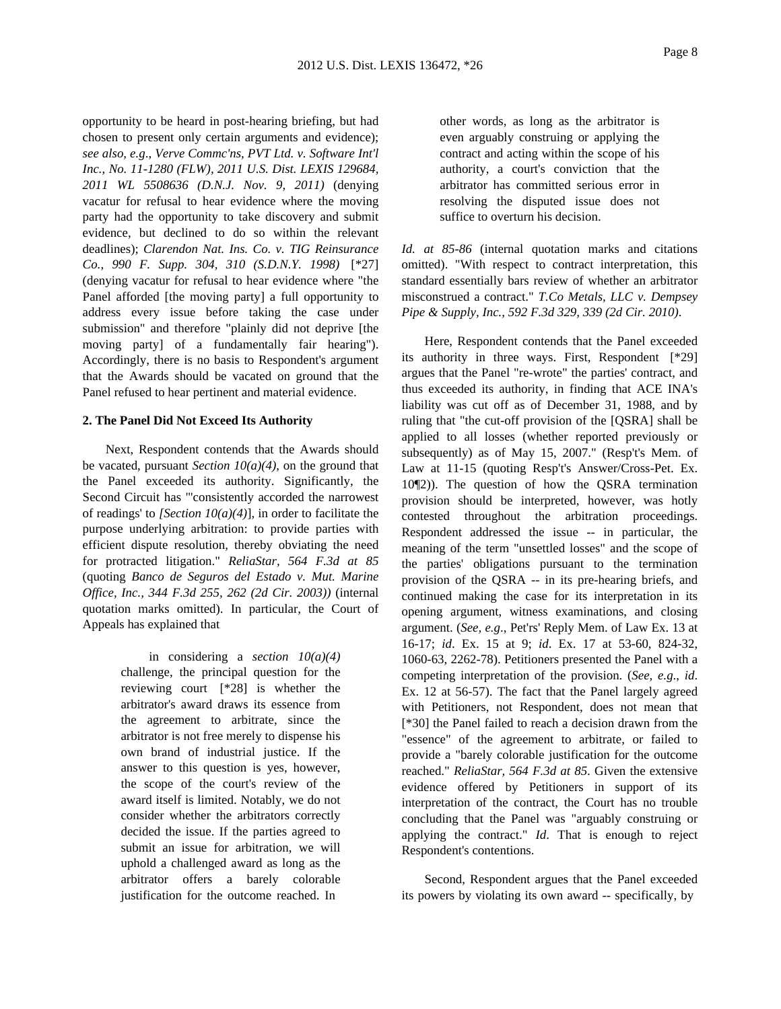opportunity to be heard in post-hearing briefing, but had chosen to present only certain arguments and evidence); *see also, e.g*., *Verve Commc'ns, PVT Ltd. v. Software Int'l Inc., No. 11-1280 (FLW), 2011 U.S. Dist. LEXIS 129684, 2011 WL 5508636 (D.N.J. Nov. 9, 2011)* (denying vacatur for refusal to hear evidence where the moving party had the opportunity to take discovery and submit evidence, but declined to do so within the relevant deadlines); *Clarendon Nat. Ins. Co. v. TIG Reinsurance Co., 990 F. Supp. 304, 310 (S.D.N.Y. 1998)* [\*27] (denying vacatur for refusal to hear evidence where "the Panel afforded [the moving party] a full opportunity to address every issue before taking the case under submission" and therefore "plainly did not deprive [the moving party] of a fundamentally fair hearing"). Accordingly, there is no basis to Respondent's argument that the Awards should be vacated on ground that the Panel refused to hear pertinent and material evidence.

### **2. The Panel Did Not Exceed Its Authority**

Next, Respondent contends that the Awards should be vacated, pursuant *Section 10(a)(4)*, on the ground that the Panel exceeded its authority. Significantly, the Second Circuit has "'consistently accorded the narrowest of readings' to *[Section 10(a)(4)*], in order to facilitate the purpose underlying arbitration: to provide parties with efficient dispute resolution, thereby obviating the need for protracted litigation." *ReliaStar, 564 F.3d at 85* (quoting *Banco de Seguros del Estado v. Mut. Marine Office, Inc., 344 F.3d 255, 262 (2d Cir. 2003))* (internal quotation marks omitted). In particular, the Court of Appeals has explained that

> in considering a *section 10(a)(4)* challenge, the principal question for the reviewing court [\*28] is whether the arbitrator's award draws its essence from the agreement to arbitrate, since the arbitrator is not free merely to dispense his own brand of industrial justice. If the answer to this question is yes, however, the scope of the court's review of the award itself is limited. Notably, we do not consider whether the arbitrators correctly decided the issue. If the parties agreed to submit an issue for arbitration, we will uphold a challenged award as long as the arbitrator offers a barely colorable justification for the outcome reached. In

other words, as long as the arbitrator is even arguably construing or applying the contract and acting within the scope of his authority, a court's conviction that the arbitrator has committed serious error in resolving the disputed issue does not suffice to overturn his decision.

*Id. at 85-86* (internal quotation marks and citations omitted). "With respect to contract interpretation, this standard essentially bars review of whether an arbitrator misconstrued a contract." *T.Co Metals, LLC v. Dempsey Pipe & Supply, Inc., 592 F.3d 329, 339 (2d Cir. 2010)*.

Here, Respondent contends that the Panel exceeded its authority in three ways. First, Respondent [\*29] argues that the Panel "re-wrote" the parties' contract, and thus exceeded its authority, in finding that ACE INA's liability was cut off as of December 31, 1988, and by ruling that "the cut-off provision of the [QSRA] shall be applied to all losses (whether reported previously or subsequently) as of May 15, 2007." (Resp't's Mem. of Law at 11-15 (quoting Resp't's Answer/Cross-Pet. Ex. 10¶2)). The question of how the QSRA termination provision should be interpreted, however, was hotly contested throughout the arbitration proceedings. Respondent addressed the issue -- in particular, the meaning of the term "unsettled losses" and the scope of the parties' obligations pursuant to the termination provision of the QSRA -- in its pre-hearing briefs, and continued making the case for its interpretation in its opening argument, witness examinations, and closing argument. (*See, e.g*., Pet'rs' Reply Mem. of Law Ex. 13 at 16-17; *id*. Ex. 15 at 9; *id*. Ex. 17 at 53-60, 824-32, 1060-63, 2262-78). Petitioners presented the Panel with a competing interpretation of the provision. (*See, e.g*., *id*. Ex. 12 at 56-57). The fact that the Panel largely agreed with Petitioners, not Respondent, does not mean that [\*30] the Panel failed to reach a decision drawn from the "essence" of the agreement to arbitrate, or failed to provide a "barely colorable justification for the outcome reached." *ReliaStar, 564 F.3d at 85*. Given the extensive evidence offered by Petitioners in support of its interpretation of the contract, the Court has no trouble concluding that the Panel was "arguably construing or applying the contract." *Id*. That is enough to reject Respondent's contentions.

Second, Respondent argues that the Panel exceeded its powers by violating its own award -- specifically, by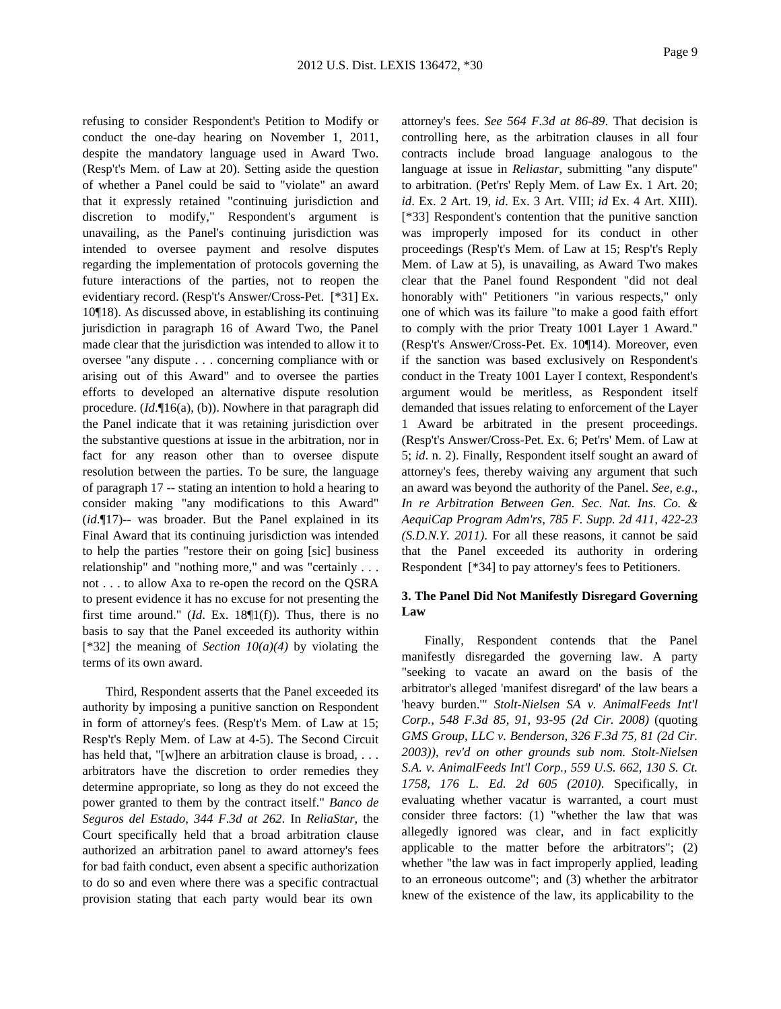refusing to consider Respondent's Petition to Modify or conduct the one-day hearing on November 1, 2011, despite the mandatory language used in Award Two. (Resp't's Mem. of Law at 20). Setting aside the question of whether a Panel could be said to "violate" an award that it expressly retained "continuing jurisdiction and discretion to modify," Respondent's argument is unavailing, as the Panel's continuing jurisdiction was intended to oversee payment and resolve disputes regarding the implementation of protocols governing the future interactions of the parties, not to reopen the evidentiary record. (Resp't's Answer/Cross-Pet. [\*31] Ex. 10¶18). As discussed above, in establishing its continuing jurisdiction in paragraph 16 of Award Two, the Panel made clear that the jurisdiction was intended to allow it to oversee "any dispute . . . concerning compliance with or arising out of this Award" and to oversee the parties efforts to developed an alternative dispute resolution procedure. (*Id*.¶16(a), (b)). Nowhere in that paragraph did the Panel indicate that it was retaining jurisdiction over the substantive questions at issue in the arbitration, nor in fact for any reason other than to oversee dispute resolution between the parties. To be sure, the language of paragraph 17 -- stating an intention to hold a hearing to consider making "any modifications to this Award" (*id*.¶17)-- was broader. But the Panel explained in its Final Award that its continuing jurisdiction was intended to help the parties "restore their on going [sic] business relationship" and "nothing more," and was "certainly . . . not . . . to allow Axa to re-open the record on the QSRA to present evidence it has no excuse for not presenting the first time around." (*Id*. Ex. 18¶1(f)). Thus, there is no basis to say that the Panel exceeded its authority within [\*32] the meaning of *Section 10(a)(4)* by violating the terms of its own award.

Third, Respondent asserts that the Panel exceeded its authority by imposing a punitive sanction on Respondent in form of attorney's fees. (Resp't's Mem. of Law at 15; Resp't's Reply Mem. of Law at 4-5). The Second Circuit has held that, "[w]here an arbitration clause is broad, ... arbitrators have the discretion to order remedies they determine appropriate, so long as they do not exceed the power granted to them by the contract itself." *Banco de Seguros del Estado, 344 F.3d at 262*. In *ReliaStar*, the Court specifically held that a broad arbitration clause authorized an arbitration panel to award attorney's fees for bad faith conduct, even absent a specific authorization to do so and even where there was a specific contractual provision stating that each party would bear its own

attorney's fees. *See 564 F.3d at 86-89*. That decision is controlling here, as the arbitration clauses in all four contracts include broad language analogous to the language at issue in *Reliastar*, submitting "any dispute" to arbitration. (Pet'rs' Reply Mem. of Law Ex. 1 Art. 20; *id*. Ex. 2 Art. 19, *id*. Ex. 3 Art. VIII; *id* Ex. 4 Art. XIII). [\*33] Respondent's contention that the punitive sanction was improperly imposed for its conduct in other proceedings (Resp't's Mem. of Law at 15; Resp't's Reply Mem. of Law at 5), is unavailing, as Award Two makes clear that the Panel found Respondent "did not deal honorably with" Petitioners "in various respects," only one of which was its failure "to make a good faith effort to comply with the prior Treaty 1001 Layer 1 Award." (Resp't's Answer/Cross-Pet. Ex. 10¶14). Moreover, even if the sanction was based exclusively on Respondent's conduct in the Treaty 1001 Layer I context, Respondent's argument would be meritless, as Respondent itself demanded that issues relating to enforcement of the Layer 1 Award be arbitrated in the present proceedings. (Resp't's Answer/Cross-Pet. Ex. 6; Pet'rs' Mem. of Law at 5; *id*. n. 2). Finally, Respondent itself sought an award of attorney's fees, thereby waiving any argument that such an award was beyond the authority of the Panel. *See, e.g*., *In re Arbitration Between Gen. Sec. Nat. Ins. Co. & AequiCap Program Adm'rs, 785 F. Supp. 2d 411, 422-23 (S.D.N.Y. 2011)*. For all these reasons, it cannot be said that the Panel exceeded its authority in ordering Respondent [\*34] to pay attorney's fees to Petitioners.

# **3. The Panel Did Not Manifestly Disregard Governing Law**

Finally, Respondent contends that the Panel manifestly disregarded the governing law. A party "seeking to vacate an award on the basis of the arbitrator's alleged 'manifest disregard' of the law bears a 'heavy burden.'" *Stolt-Nielsen SA v. AnimalFeeds Int'l Corp., 548 F.3d 85, 91, 93-95 (2d Cir. 2008)* (quoting *GMS Group, LLC v. Benderson, 326 F.3d 75, 81 (2d Cir. 2003))*, *rev'd on other grounds sub nom. Stolt-Nielsen S.A. v. AnimalFeeds Int'l Corp., 559 U.S. 662, 130 S. Ct. 1758, 176 L. Ed. 2d 605 (2010)*. Specifically, in evaluating whether vacatur is warranted, a court must consider three factors: (1) "whether the law that was allegedly ignored was clear, and in fact explicitly applicable to the matter before the arbitrators"; (2) whether "the law was in fact improperly applied, leading to an erroneous outcome"; and (3) whether the arbitrator knew of the existence of the law, its applicability to the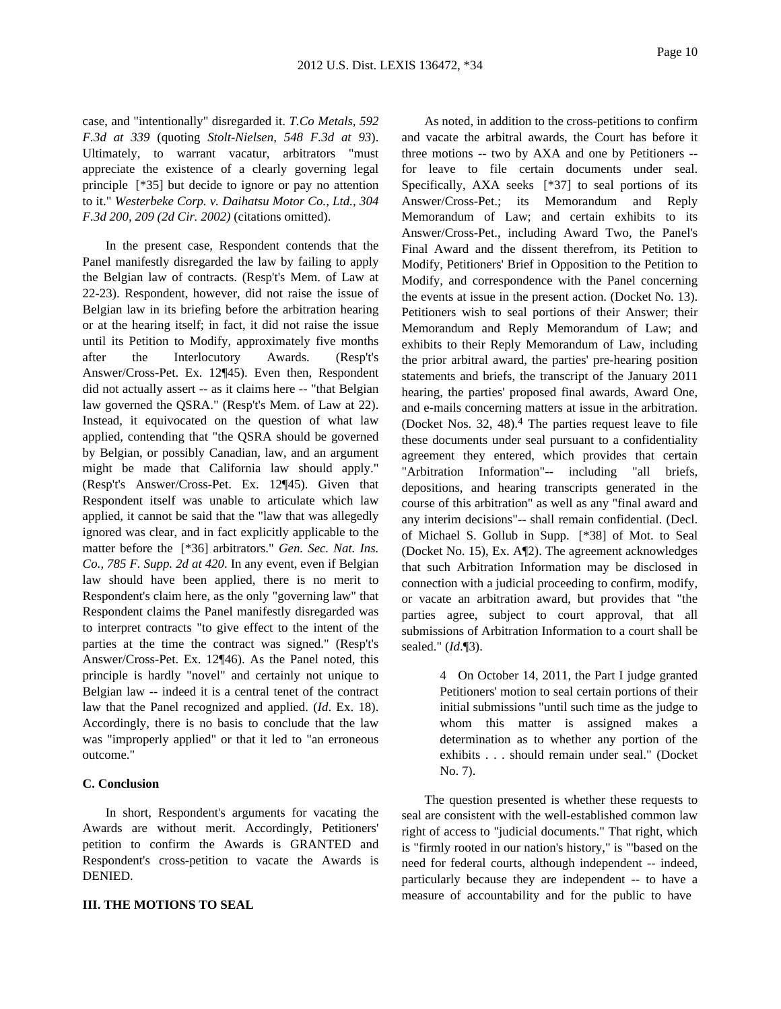case, and "intentionally" disregarded it. *T.Co Metals, 592 F.3d at 339* (quoting *Stolt-Nielsen, 548 F.3d at 93*). Ultimately, to warrant vacatur, arbitrators "must appreciate the existence of a clearly governing legal principle [\*35] but decide to ignore or pay no attention to it." *Westerbeke Corp. v. Daihatsu Motor Co., Ltd., 304 F.3d 200, 209 (2d Cir. 2002)* (citations omitted).

In the present case, Respondent contends that the Panel manifestly disregarded the law by failing to apply the Belgian law of contracts. (Resp't's Mem. of Law at 22-23). Respondent, however, did not raise the issue of Belgian law in its briefing before the arbitration hearing or at the hearing itself; in fact, it did not raise the issue until its Petition to Modify, approximately five months after the Interlocutory Awards. (Resp't's Answer/Cross-Pet. Ex. 12¶45). Even then, Respondent did not actually assert -- as it claims here -- "that Belgian law governed the QSRA." (Resp't's Mem. of Law at 22). Instead, it equivocated on the question of what law applied, contending that "the QSRA should be governed by Belgian, or possibly Canadian, law, and an argument might be made that California law should apply." (Resp't's Answer/Cross-Pet. Ex. 12¶45). Given that Respondent itself was unable to articulate which law applied, it cannot be said that the "law that was allegedly ignored was clear, and in fact explicitly applicable to the matter before the [\*36] arbitrators." *Gen. Sec. Nat. Ins. Co., 785 F. Supp. 2d at 420*. In any event, even if Belgian law should have been applied, there is no merit to Respondent's claim here, as the only "governing law" that Respondent claims the Panel manifestly disregarded was to interpret contracts "to give effect to the intent of the parties at the time the contract was signed." (Resp't's Answer/Cross-Pet. Ex. 12¶46). As the Panel noted, this principle is hardly "novel" and certainly not unique to Belgian law -- indeed it is a central tenet of the contract law that the Panel recognized and applied. (*Id*. Ex. 18). Accordingly, there is no basis to conclude that the law was "improperly applied" or that it led to "an erroneous outcome."

# **C. Conclusion**

In short, Respondent's arguments for vacating the Awards are without merit. Accordingly, Petitioners' petition to confirm the Awards is GRANTED and Respondent's cross-petition to vacate the Awards is DENIED.

## **III. THE MOTIONS TO SEAL**

As noted, in addition to the cross-petitions to confirm and vacate the arbitral awards, the Court has before it three motions -- two by AXA and one by Petitioners - for leave to file certain documents under seal. Specifically, AXA seeks [\*37] to seal portions of its Answer/Cross-Pet.; its Memorandum and Reply Memorandum of Law; and certain exhibits to its Answer/Cross-Pet., including Award Two, the Panel's Final Award and the dissent therefrom, its Petition to Modify, Petitioners' Brief in Opposition to the Petition to Modify, and correspondence with the Panel concerning the events at issue in the present action. (Docket No. 13). Petitioners wish to seal portions of their Answer; their Memorandum and Reply Memorandum of Law; and exhibits to their Reply Memorandum of Law, including the prior arbitral award, the parties' pre-hearing position statements and briefs, the transcript of the January 2011 hearing, the parties' proposed final awards, Award One, and e-mails concerning matters at issue in the arbitration. (Docket Nos. 32, 48).4 The parties request leave to file these documents under seal pursuant to a confidentiality agreement they entered, which provides that certain "Arbitration Information"-- including "all briefs, depositions, and hearing transcripts generated in the course of this arbitration" as well as any "final award and any interim decisions"-- shall remain confidential. (Decl. of Michael S. Gollub in Supp. [\*38] of Mot. to Seal (Docket No. 15), Ex. A¶2). The agreement acknowledges that such Arbitration Information may be disclosed in connection with a judicial proceeding to confirm, modify, or vacate an arbitration award, but provides that "the parties agree, subject to court approval, that all submissions of Arbitration Information to a court shall be sealed." (*Id*.¶3).

> 4 On October 14, 2011, the Part I judge granted Petitioners' motion to seal certain portions of their initial submissions "until such time as the judge to whom this matter is assigned makes a determination as to whether any portion of the exhibits . . . should remain under seal." (Docket No. 7).

The question presented is whether these requests to seal are consistent with the well-established common law right of access to "judicial documents." That right, which is "firmly rooted in our nation's history," is "'based on the need for federal courts, although independent -- indeed, particularly because they are independent -- to have a measure of accountability and for the public to have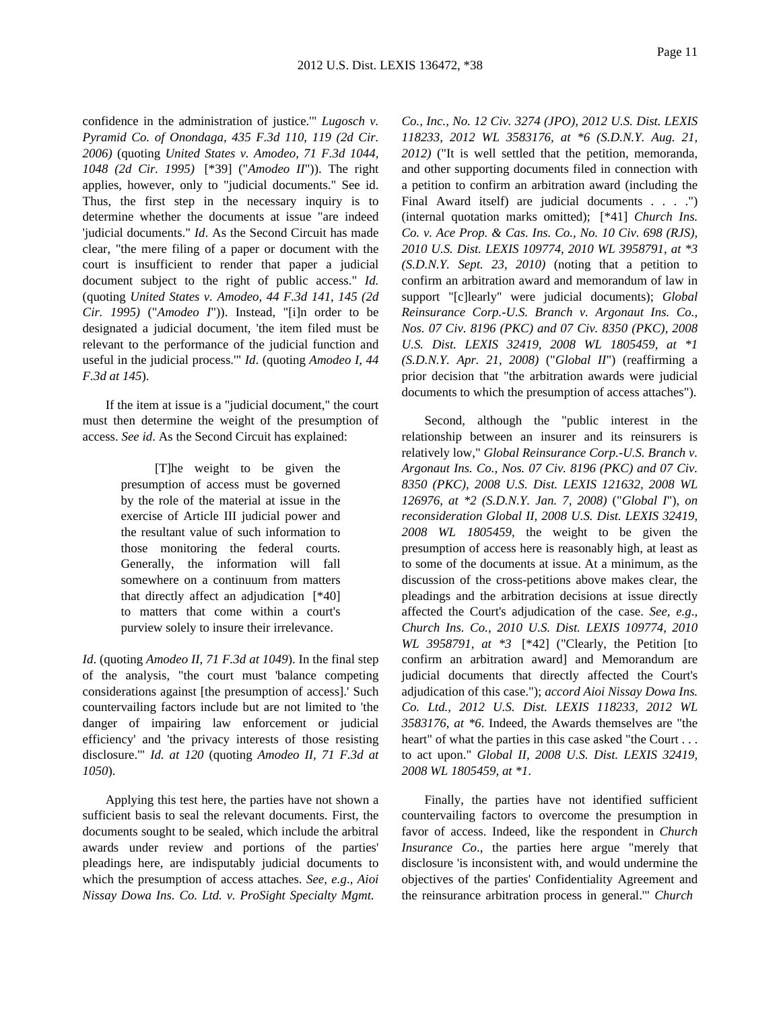confidence in the administration of justice.'" *Lugosch v. Pyramid Co. of Onondaga, 435 F.3d 110, 119 (2d Cir. 2006)* (quoting *United States v. Amodeo, 71 F.3d 1044, 1048 (2d Cir. 1995)* [\*39] ("*Amodeo II*")). The right applies, however, only to "judicial documents." See id. Thus, the first step in the necessary inquiry is to determine whether the documents at issue "are indeed 'judicial documents." *Id*. As the Second Circuit has made clear, "the mere filing of a paper or document with the court is insufficient to render that paper a judicial document subject to the right of public access." *Id.* (quoting *United States v. Amodeo, 44 F.3d 141, 145 (2d Cir. 1995)* ("*Amodeo I*")). Instead, "[i]n order to be designated a judicial document, 'the item filed must be relevant to the performance of the judicial function and useful in the judicial process.'" *Id*. (quoting *Amodeo I, 44 F.3d at 145*).

If the item at issue is a "judicial document," the court must then determine the weight of the presumption of access. *See id*. As the Second Circuit has explained:

> [T]he weight to be given the presumption of access must be governed by the role of the material at issue in the exercise of Article III judicial power and the resultant value of such information to those monitoring the federal courts. Generally, the information will fall somewhere on a continuum from matters that directly affect an adjudication [\*40] to matters that come within a court's purview solely to insure their irrelevance.

*Id*. (quoting *Amodeo II, 71 F.3d at 1049*). In the final step of the analysis, "the court must 'balance competing considerations against [the presumption of access].' Such countervailing factors include but are not limited to 'the danger of impairing law enforcement or judicial efficiency' and 'the privacy interests of those resisting disclosure.'" *Id. at 120* (quoting *Amodeo II, 71 F.3d at 1050*).

Applying this test here, the parties have not shown a sufficient basis to seal the relevant documents. First, the documents sought to be sealed, which include the arbitral awards under review and portions of the parties' pleadings here, are indisputably judicial documents to which the presumption of access attaches. *See, e.g*., *Aioi Nissay Dowa Ins. Co. Ltd. v. ProSight Specialty Mgmt.*

*Co., Inc., No. 12 Civ. 3274 (JPO), 2012 U.S. Dist. LEXIS 118233, 2012 WL 3583176, at \*6 (S.D.N.Y. Aug. 21, 2012)* ("It is well settled that the petition, memoranda, and other supporting documents filed in connection with a petition to confirm an arbitration award (including the Final Award itself) are judicial documents . . . .") (internal quotation marks omitted); [\*41] *Church Ins. Co. v. Ace Prop. & Cas. Ins. Co., No. 10 Civ. 698 (RJS), 2010 U.S. Dist. LEXIS 109774, 2010 WL 3958791, at \*3 (S.D.N.Y. Sept. 23, 2010)* (noting that a petition to confirm an arbitration award and memorandum of law in support "[c]learly" were judicial documents); *Global Reinsurance Corp.-U.S. Branch v. Argonaut Ins. Co., Nos. 07 Civ. 8196 (PKC) and 07 Civ. 8350 (PKC), 2008 U.S. Dist. LEXIS 32419, 2008 WL 1805459, at \*1 (S.D.N.Y. Apr. 21, 2008)* ("*Global II*") (reaffirming a prior decision that "the arbitration awards were judicial documents to which the presumption of access attaches").

Second, although the "public interest in the relationship between an insurer and its reinsurers is relatively low," *Global Reinsurance Corp.-U.S. Branch v. Argonaut Ins. Co., Nos. 07 Civ. 8196 (PKC) and 07 Civ. 8350 (PKC), 2008 U.S. Dist. LEXIS 121632, 2008 WL 126976, at \*2 (S.D.N.Y. Jan. 7, 2008)* ("*Global I*"), *on reconsideration Global II, 2008 U.S. Dist. LEXIS 32419, 2008 WL 1805459*, the weight to be given the presumption of access here is reasonably high, at least as to some of the documents at issue. At a minimum, as the discussion of the cross-petitions above makes clear, the pleadings and the arbitration decisions at issue directly affected the Court's adjudication of the case. *See, e.g*., *Church Ins. Co., 2010 U.S. Dist. LEXIS 109774, 2010 WL 3958791, at \*3* [\*42] ("Clearly, the Petition [to confirm an arbitration award] and Memorandum are judicial documents that directly affected the Court's adjudication of this case."); *accord Aioi Nissay Dowa Ins. Co. Ltd., 2012 U.S. Dist. LEXIS 118233, 2012 WL 3583176, at \*6*. Indeed, the Awards themselves are "the heart" of what the parties in this case asked "the Court ... to act upon." *Global II, 2008 U.S. Dist. LEXIS 32419, 2008 WL 1805459, at \*1*.

Finally, the parties have not identified sufficient countervailing factors to overcome the presumption in favor of access. Indeed, like the respondent in *Church Insurance Co*., the parties here argue "merely that disclosure 'is inconsistent with, and would undermine the objectives of the parties' Confidentiality Agreement and the reinsurance arbitration process in general.'" *Church*